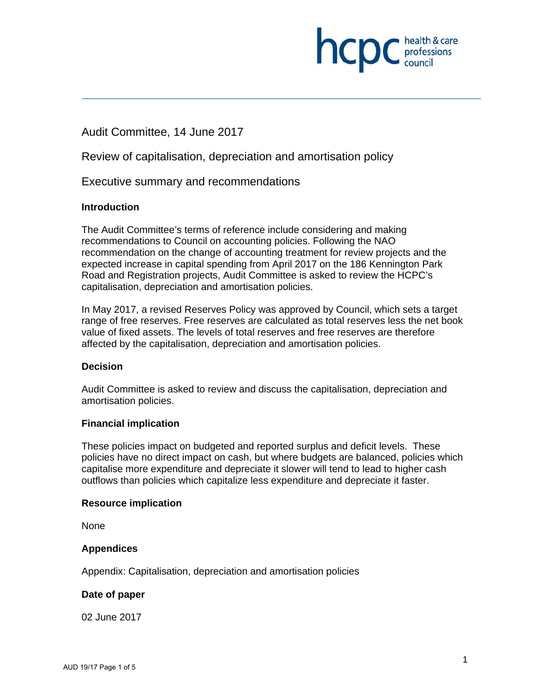

# Audit Committee, 14 June 2017

Review of capitalisation, depreciation and amortisation policy

Executive summary and recommendations

#### **Introduction**

The Audit Committee's terms of reference include considering and making recommendations to Council on accounting policies. Following the NAO recommendation on the change of accounting treatment for review projects and the expected increase in capital spending from April 2017 on the 186 Kennington Park Road and Registration projects, Audit Committee is asked to review the HCPC's capitalisation, depreciation and amortisation policies.

In May 2017, a revised Reserves Policy was approved by Council, which sets a target range of free reserves. Free reserves are calculated as total reserves less the net book value of fixed assets. The levels of total reserves and free reserves are therefore affected by the capitalisation, depreciation and amortisation policies.

#### **Decision**

Audit Committee is asked to review and discuss the capitalisation, depreciation and amortisation policies.

#### **Financial implication**

These policies impact on budgeted and reported surplus and deficit levels. These policies have no direct impact on cash, but where budgets are balanced, policies which capitalise more expenditure and depreciate it slower will tend to lead to higher cash outflows than policies which capitalize less expenditure and depreciate it faster.

#### **Resource implication**

None

#### **Appendices**

Appendix: Capitalisation, depreciation and amortisation policies

#### **Date of paper**

02 June 2017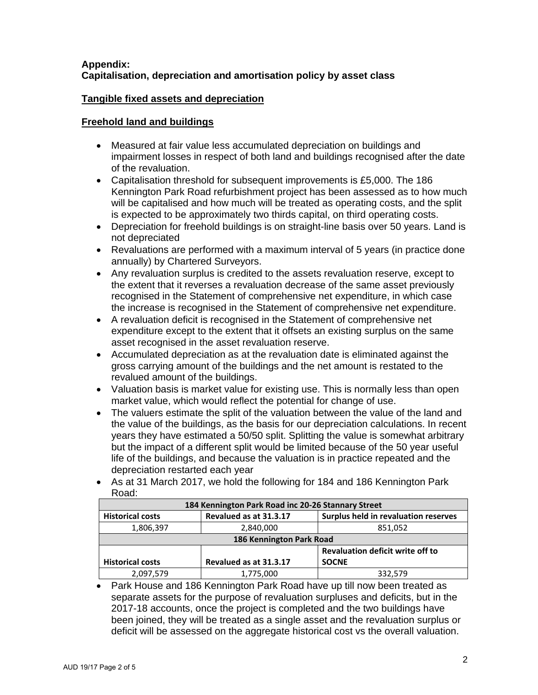#### **Appendix: Capitalisation, depreciation and amortisation policy by asset class**

### **Tangible fixed assets and depreciation**

### **Freehold land and buildings**

- Measured at fair value less accumulated depreciation on buildings and impairment losses in respect of both land and buildings recognised after the date of the revaluation.
- Capitalisation threshold for subsequent improvements is £5,000. The 186 Kennington Park Road refurbishment project has been assessed as to how much will be capitalised and how much will be treated as operating costs, and the split is expected to be approximately two thirds capital, on third operating costs.
- Depreciation for freehold buildings is on straight-line basis over 50 years. Land is not depreciated
- Revaluations are performed with a maximum interval of 5 years (in practice done annually) by Chartered Surveyors.
- Any revaluation surplus is credited to the assets revaluation reserve, except to the extent that it reverses a revaluation decrease of the same asset previously recognised in the Statement of comprehensive net expenditure, in which case the increase is recognised in the Statement of comprehensive net expenditure.
- A revaluation deficit is recognised in the Statement of comprehensive net expenditure except to the extent that it offsets an existing surplus on the same asset recognised in the asset revaluation reserve.
- Accumulated depreciation as at the revaluation date is eliminated against the gross carrying amount of the buildings and the net amount is restated to the revalued amount of the buildings.
- Valuation basis is market value for existing use. This is normally less than open market value, which would reflect the potential for change of use.
- The valuers estimate the split of the valuation between the value of the land and the value of the buildings, as the basis for our depreciation calculations. In recent years they have estimated a 50/50 split. Splitting the value is somewhat arbitrary but the impact of a different split would be limited because of the 50 year useful life of the buildings, and because the valuation is in practice repeated and the depreciation restarted each year
- As at 31 March 2017, we hold the following for 184 and 186 Kennington Park Road:

| 184 Kennington Park Road inc 20-26 Stannary Street |                                         |                                      |  |  |
|----------------------------------------------------|-----------------------------------------|--------------------------------------|--|--|
| <b>Historical costs</b>                            | Revalued as at 31.3.17                  | Surplus held in revaluation reserves |  |  |
| 1,806,397                                          | 2,840,000                               | 851,052                              |  |  |
| 186 Kennington Park Road                           |                                         |                                      |  |  |
|                                                    | <b>Revaluation deficit write off to</b> |                                      |  |  |
| <b>Historical costs</b>                            | Revalued as at 31.3.17                  | <b>SOCNE</b>                         |  |  |
| 2,097,579                                          | 1,775,000                               | 332,579                              |  |  |

• Park House and 186 Kennington Park Road have up till now been treated as separate assets for the purpose of revaluation surpluses and deficits, but in the 2017-18 accounts, once the project is completed and the two buildings have been joined, they will be treated as a single asset and the revaluation surplus or deficit will be assessed on the aggregate historical cost vs the overall valuation.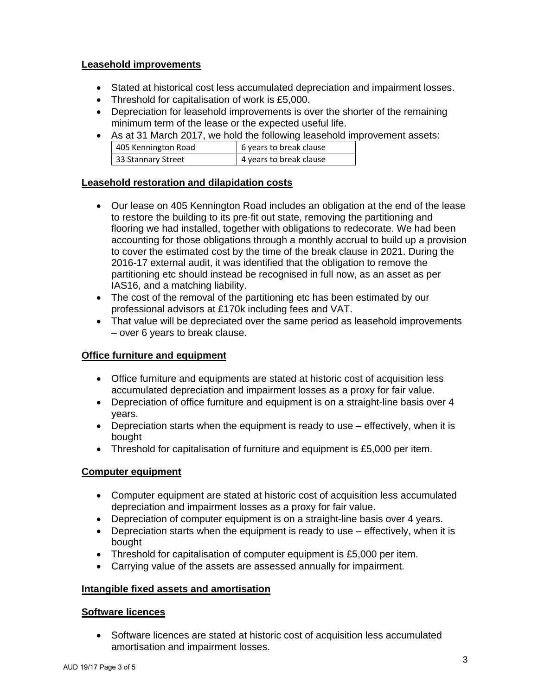### **Leasehold improvements**

- Stated at historical cost less accumulated depreciation and impairment losses.
- Threshold for capitalisation of work is £5,000.
- Depreciation for leasehold improvements is over the shorter of the remaining minimum term of the lease or the expected useful life.
- As at 31 March 2017, we hold the following leasehold improvement assets:

| 405 Kennington Road | 6 years to break clause |
|---------------------|-------------------------|
| 33 Stannary Street  | 4 years to break clause |

#### **Leasehold restoration and dilapidation costs**

- Our lease on 405 Kennington Road includes an obligation at the end of the lease to restore the building to its pre-fit out state, removing the partitioning and flooring we had installed, together with obligations to redecorate. We had been accounting for those obligations through a monthly accrual to build up a provision to cover the estimated cost by the time of the break clause in 2021. During the 2016-17 external audit, it was identified that the obligation to remove the partitioning etc should instead be recognised in full now, as an asset as per IAS16, and a matching liability.
- The cost of the removal of the partitioning etc has been estimated by our professional advisors at £170k including fees and VAT.
- That value will be depreciated over the same period as leasehold improvements – over 6 years to break clause.

### **Office furniture and equipment**

- Office furniture and equipments are stated at historic cost of acquisition less accumulated depreciation and impairment losses as a proxy for fair value.
- Depreciation of office furniture and equipment is on a straight-line basis over 4 years.
- Depreciation starts when the equipment is ready to use effectively, when it is bought
- Threshold for capitalisation of furniture and equipment is £5,000 per item.

#### **Computer equipment**

- Computer equipment are stated at historic cost of acquisition less accumulated depreciation and impairment losses as a proxy for fair value.
- Depreciation of computer equipment is on a straight-line basis over 4 years.
- Depreciation starts when the equipment is ready to use effectively, when it is bought
- Threshold for capitalisation of computer equipment is £5,000 per item.
- Carrying value of the assets are assessed annually for impairment.

#### **Intangible fixed assets and amortisation**

#### **Software licences**

• Software licences are stated at historic cost of acquisition less accumulated amortisation and impairment losses.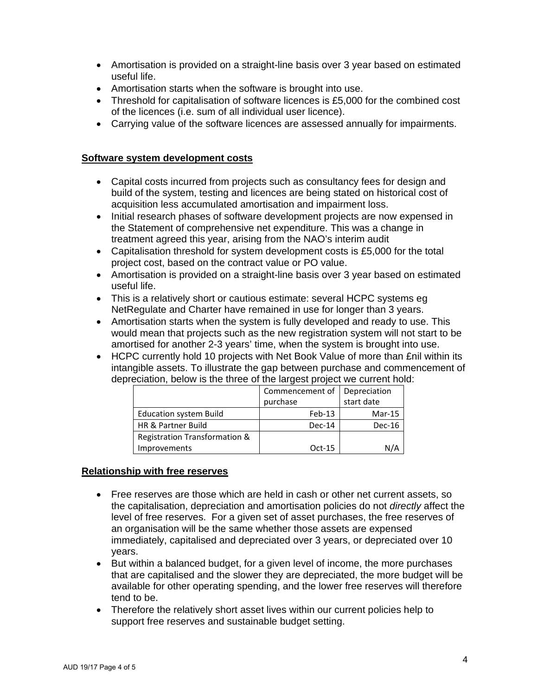- Amortisation is provided on a straight-line basis over 3 year based on estimated useful life.
- Amortisation starts when the software is brought into use.
- Threshold for capitalisation of software licences is £5,000 for the combined cost of the licences (i.e. sum of all individual user licence).
- Carrying value of the software licences are assessed annually for impairments.

#### **Software system development costs**

- Capital costs incurred from projects such as consultancy fees for design and build of the system, testing and licences are being stated on historical cost of acquisition less accumulated amortisation and impairment loss.
- Initial research phases of software development projects are now expensed in the Statement of comprehensive net expenditure. This was a change in treatment agreed this year, arising from the NAO's interim audit
- Capitalisation threshold for system development costs is £5,000 for the total project cost, based on the contract value or PO value.
- Amortisation is provided on a straight-line basis over 3 year based on estimated useful life.
- This is a relatively short or cautious estimate: several HCPC systems eg NetRegulate and Charter have remained in use for longer than 3 years.
- Amortisation starts when the system is fully developed and ready to use. This would mean that projects such as the new registration system will not start to be amortised for another 2-3 years' time, when the system is brought into use.
- HCPC currently hold 10 projects with Net Book Value of more than £nil within its intangible assets. To illustrate the gap between purchase and commencement of depreciation, below is the three of the largest project we current hold:

|                               | Commencement of Depreciation |            |  |
|-------------------------------|------------------------------|------------|--|
|                               | purchase                     | start date |  |
| <b>Education system Build</b> | $Feb-13$                     | $Mar-15$   |  |
| HR & Partner Build            | Dec-14                       | $Dec-16$   |  |
| Registration Transformation & |                              |            |  |
| <b>Improvements</b>           | $Oct-15$                     | N/A        |  |

#### **Relationship with free reserves**

- Free reserves are those which are held in cash or other net current assets, so the capitalisation, depreciation and amortisation policies do not *directly* affect the level of free reserves. For a given set of asset purchases, the free reserves of an organisation will be the same whether those assets are expensed immediately, capitalised and depreciated over 3 years, or depreciated over 10 years.
- But within a balanced budget, for a given level of income, the more purchases that are capitalised and the slower they are depreciated, the more budget will be available for other operating spending, and the lower free reserves will therefore tend to be.
- Therefore the relatively short asset lives within our current policies help to support free reserves and sustainable budget setting.